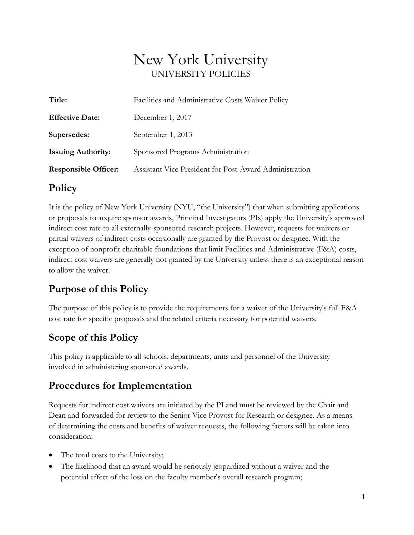# New York University UNIVERSITY POLICIES

| Title:                      | Facilities and Administrative Costs Waiver Policy      |
|-----------------------------|--------------------------------------------------------|
| <b>Effective Date:</b>      | December 1, 2017                                       |
| Supersedes:                 | September 1, 2013                                      |
| <b>Issuing Authority:</b>   | Sponsored Programs Administration                      |
| <b>Responsible Officer:</b> | Assistant Vice President for Post-Award Administration |
|                             |                                                        |

#### **Policy**

It is the policy of New York University (NYU, "the University") that when submitting applications or proposals to acquire sponsor awards, Principal Investigators (PIs) apply the University's approved indirect cost rate to all externally-sponsored research projects. However, requests for waivers or partial waivers of indirect costs occasionally are granted by the Provost or designee. With the exception of nonprofit charitable foundations that limit Facilities and Administrative (F&A) costs, indirect cost waivers are generally not granted by the University unless there is an exceptional reason to allow the waiver.

# **Purpose of this Policy**

The purpose of this policy is to provide the requirements for a waiver of the University's full F&A cost rate for specific proposals and the related criteria necessary for potential waivers.

# **Scope of this Policy**

This policy is applicable to all schools, departments, units and personnel of the University involved in administering sponsored awards.

#### **Procedures for Implementation**

Requests for indirect cost waivers are initiated by the PI and must be reviewed by the Chair and Dean and forwarded for review to the Senior Vice Provost for Research or designee. As a means of determining the costs and benefits of waiver requests, the following factors will be taken into consideration:

- The total costs to the University;
- The likelihood that an award would be seriously jeopardized without a waiver and the potential effect of the loss on the faculty member's overall research program;